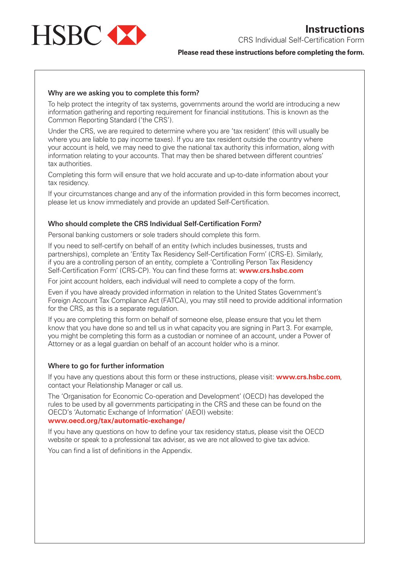

CRS Individual Self-Certification Form

### **Please read these instructions before completing the form.**

## **Why are we asking you to complete this form?**

To help protect the integrity of tax systems, governments around the world are introducing a new information gathering and reporting requirement for financial institutions. This is known as the Common Reporting Standard ('the CRS').

Under the CRS, we are required to determine where you are 'tax resident' (this will usually be where you are liable to pay income taxes). If you are tax resident outside the country where your account is held, we may need to give the national tax authority this information, along with information relating to your accounts. That may then be shared between different countries' tax authorities.

Completing this form will ensure that we hold accurate and up-to-date information about your tax residency.

If your circumstances change and any of the information provided in this form becomes incorrect, please let us know immediately and provide an updated Self-Certification.

#### **Who should complete the CRS Individual Self-Certification Form?**

Personal banking customers or sole traders should complete this form.

If you need to self-certify on behalf of an entity (which includes businesses, trusts and partnerships), complete an 'Entity Tax Residency Self-Certification Form' (CRS-E). Similarly, if you are a controlling person of an entity, complete a 'Controlling Person Tax Residency Self-Certification Form' (CRS-CP). You can find these forms at: **www.crs.hsbc.com**

For joint account holders, each individual will need to complete a copy of the form.

Even if you have already provided information in relation to the United States Government's Foreign Account Tax Compliance Act (FATCA), you may still need to provide additional information for the CRS, as this is a separate regulation.

If you are completing this form on behalf of someone else, please ensure that you let them know that you have done so and tell us in what capacity you are signing in Part 3. For example, you might be completing this form as a custodian or nominee of an account, under a Power of Attorney or as a legal guardian on behalf of an account holder who is a minor.

#### **Where to go for further information**

If you have any questions about this form or these instructions, please visit: **www.crs.hsbc.com**, contact your Relationship Manager or call us.

The 'Organisation for Economic Co-operation and Development' (OECD) has developed the rules to be used by all governments participating in the CRS and these can be found on the OECD's 'Automatic Exchange of Information' (AEOI) website: **www.oecd.org/tax/automatic-exchange/**

If you have any questions on how to define your tax residency status, please visit the OECD website or speak to a professional tax adviser, as we are not allowed to give tax advice.

You can find a list of definitions in the Appendix.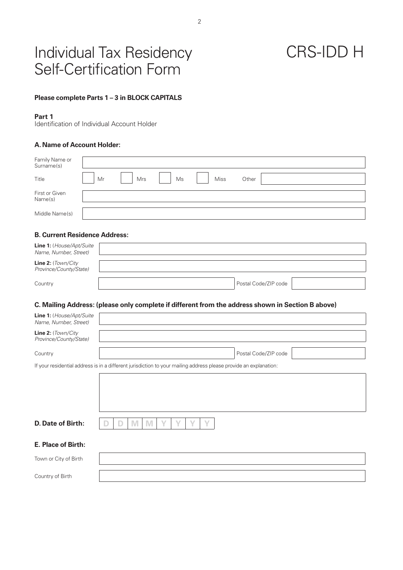## Individual Tax Residency Self-Certification Form

# CRS-IDD H

### **Please complete Parts 1 – 3 in BLOCK CAPITALS**

#### **Part 1**

Identification of Individual Account Holder

## **A.Name of Account Holder:**

| Family Name or<br>Surname(s) |    |     |    |      |       |  |
|------------------------------|----|-----|----|------|-------|--|
| Title                        | Mr | Mrs | Ms | Miss | Other |  |
| First or Given<br>Name(s)    |    |     |    |      |       |  |
| Middle Name(s)               |    |     |    |      |       |  |

## **B. Current Residence Address:**

| <b>Line 1:</b> (House/Apt/Suite<br>Name, Number, Street) |                      |  |
|----------------------------------------------------------|----------------------|--|
| <b>Line 2:</b> $(Town/City)$<br>Province/County/State)   |                      |  |
| Country                                                  | Postal Code/ZIP code |  |

#### **C. Mailing Address: (please only complete if different from the address shown in Section B above)**

| Line 1: (House/Apt/Suite<br>Name, Number, Street) |                                                                                                                   |
|---------------------------------------------------|-------------------------------------------------------------------------------------------------------------------|
| Line 2: (Town/City<br>Province/County/State)      |                                                                                                                   |
| Country                                           | Postal Code/ZIP code                                                                                              |
|                                                   | If your residential address is in a different jurisdiction to your mailing address please provide an explanation: |
|                                                   |                                                                                                                   |
|                                                   |                                                                                                                   |
|                                                   |                                                                                                                   |
| D. Date of Birth:                                 | M<br>IVI<br>IJ                                                                                                    |
| E. Place of Birth:                                |                                                                                                                   |
| Town or City of Birth                             |                                                                                                                   |
| Country of Birth                                  |                                                                                                                   |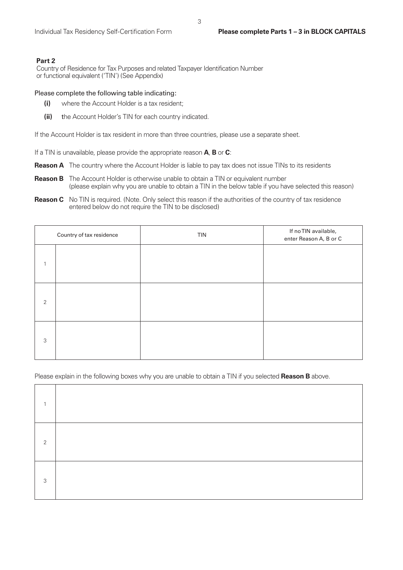### **Part 2**

Country of Residence for Tax Purposes and related Taxpayer Identification Number or functional equivalent ('TIN') (See Appendix)

#### Please complete the following table indicating:

- **(i)** where the Account Holder is a tax resident;
- **(ii)** the Account Holder's TIN for each country indicated.

If the Account Holder is tax resident in more than three countries, please use a separate sheet.

If a TIN is unavailable, please provide the appropriate reason **A**, **B** or **C**:

- **Reason A** The country where the Account Holder is liable to pay tax does not issue TINs to its residents
- **Reason B** The Account Holder is otherwise unable to obtain a TIN or equivalent number (please explain why you are unable to obtain a TIN in the below table if you have selected this reason)
- **Reason C** No TIN is required. (Note. Only select this reason if the authorities of the country of tax residence entered below do not require the TIN to be disclosed)

| Country of tax residence |  | <b>TIN</b> | If no TIN available,<br>enter Reason A, B or C |
|--------------------------|--|------------|------------------------------------------------|
| $\mathbf{1}$             |  |            |                                                |
| 2                        |  |            |                                                |
| 3                        |  |            |                                                |

Please explain in the following boxes why you are unable to obtain a TIN if you selected **Reason B** above.

| $\mathcal{P}$ |  |
|---------------|--|
| 3             |  |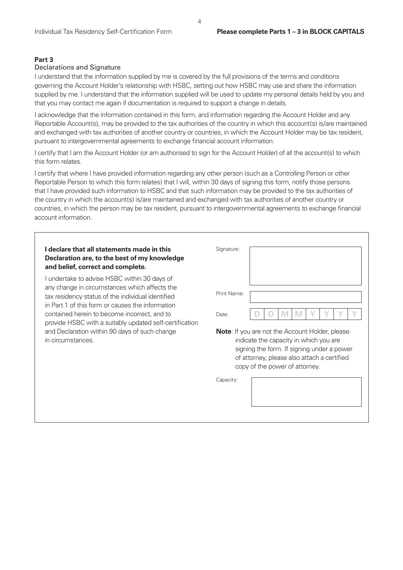### **Part 3**

### Declarations and Signature

I understand that the information supplied by me is covered by the full provisions of the terms and conditions governing the Account Holder's relationship with HSBC, setting out how HSBC may use and share the information supplied by me. I understand that the information supplied will be used to update my personal details held by you and that you may contact me again if documentation is required to support a change in details.

I acknowledge that the information contained in this form, and information regarding the Account Holder and any Reportable Account(s), may be provided to the tax authorities of the country in which this account(s) is/are maintained and exchanged with tax authorities of another country or countries, in which the Account Holder may be tax resident, pursuant to intergovernmental agreements to exchange financial account information.

I certify that I am the Account Holder (or am authorised to sign for the Account Holder) of all the account(s) to which this form relates.

I certify that where I have provided information regarding any other person (such as a Controlling Person or other Reportable Person to which this form relates) that I will, within 30 days of signing this form, notify those persons that I have provided such information to HSBC and that such information may be provided to the tax authorities of the country in which the account(s) is/are maintained and exchanged with tax authorities of another country or countries, in which the person may be tax resident, pursuant to intergovernmental agreements to exchange financial account information.

| I declare that all statements made in this<br>Declaration are, to the best of my knowledge<br>and belief, correct and complete. | Signature:                                             |
|---------------------------------------------------------------------------------------------------------------------------------|--------------------------------------------------------|
| I undertake to advise HSBC within 30 days of                                                                                    | Print Name:                                            |
| any change in circumstances which affects the                                                                                   | Date:                                                  |
| tax residency status of the individual identified                                                                               | <b>Note:</b> If you are not the Account Holder, please |
| in Part 1 of this form or causes the information                                                                                | indicate the capacity in which you are                 |
| contained herein to become incorrect, and to                                                                                    | signing the form. If signing under a power             |
| provide HSBC with a suitably updated self-certification                                                                         | of attorney, please also attach a certified            |
| and Declaration within 90 days of such change                                                                                   | copy of the power of attorney.                         |
| in circumstances.                                                                                                               | Capacity:                                              |